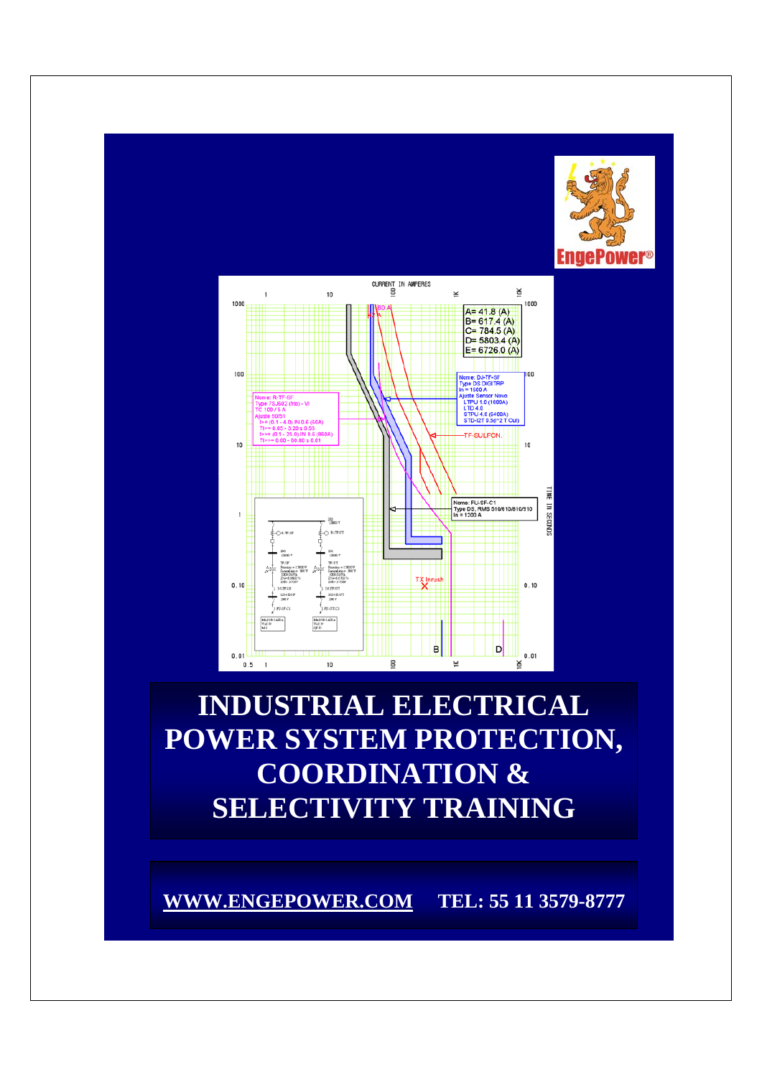



# **INDUSTRIAL ELECTRICAL POWER SYSTEM PROTECTION, COORDINATION & SELECTIVITY TRAINING**

**WWW.ENGEPOWER.COM TEL: 55 11 3579-8777**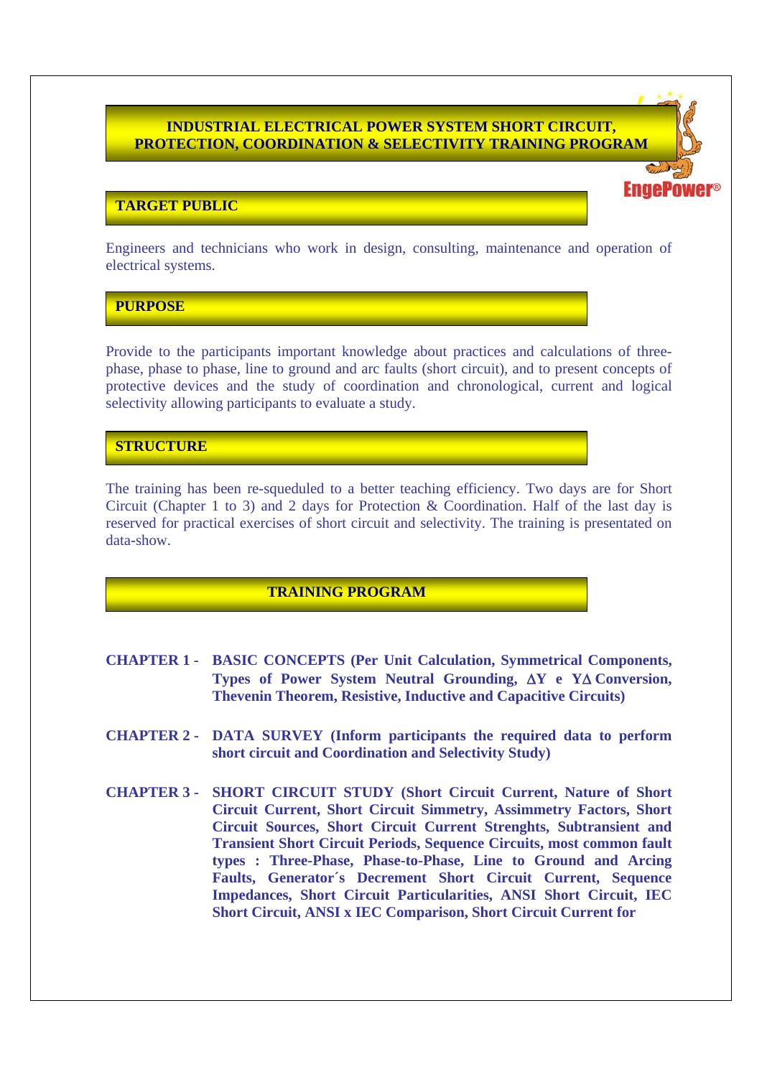#### **INDUSTRIAL ELECTRICAL POWER SYSTEM SHORT CIRCUIT, PROTECTION, COORDINATION & SELECTIVITY TRAINING PROGRAM**

## **TARGET PUBLIC**

Engineers and technicians who work in design, consulting, maintenance and operation of electrical systems.

**PURPOSE**

Provide to the participants important knowledge about practices and calculations of threephase, phase to phase, line to ground and arc faults (short circuit), and to present concepts of protective devices and the study of coordination and chronological, current and logical selectivity allowing participants to evaluate a study.

## **STRUCTURE**

The training has been re-squeduled to a better teaching efficiency. Two days are for Short Circuit (Chapter 1 to 3) and 2 days for Protection & Coordination. Half of the last day is reserved for practical exercises of short circuit and selectivity. The training is presentated on data-show.

#### **TRAINING PROGRAM**

- **CHAPTER 1 BASIC CONCEPTS (Per Unit Calculation, Symmetrical Components, Types of Power System Neutral Grounding,** Δ**Y e Y**Δ **Conversion, Thevenin Theorem, Resistive, Inductive and Capacitive Circuits)**
- **CHAPTER 2 DATA SURVEY (Inform participants the required data to perform short circuit and Coordination and Selectivity Study)**
- **CHAPTER 3 SHORT CIRCUIT STUDY (Short Circuit Current, Nature of Short Circuit Current, Short Circuit Simmetry, Assimmetry Factors, Short Circuit Sources, Short Circuit Current Strenghts, Subtransient and Transient Short Circuit Periods, Sequence Circuits, most common fault types : Three-Phase, Phase-to-Phase, Line to Ground and Arcing Faults, Generator´s Decrement Short Circuit Current, Sequence Impedances, Short Circuit Particularities, ANSI Short Circuit, IEC Short Circuit, ANSI x IEC Comparison, Short Circuit Current for**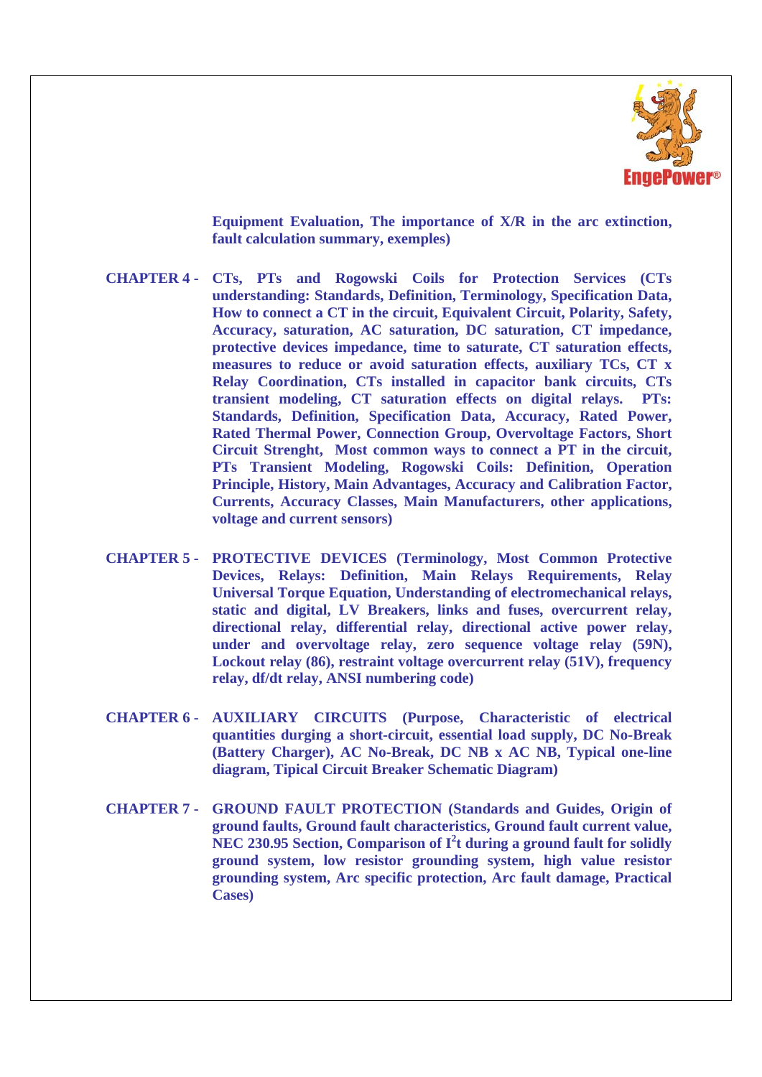

 **Equipment Evaluation, The importance of X/R in the arc extinction, fault calculation summary, exemples)** 

- **CHAPTER 4 CTs, PTs and Rogowski Coils for Protection Services (CTs understanding: Standards, Definition, Terminology, Specification Data, How to connect a CT in the circuit, Equivalent Circuit, Polarity, Safety, Accuracy, saturation, AC saturation, DC saturation, CT impedance, protective devices impedance, time to saturate, CT saturation effects, measures to reduce or avoid saturation effects, auxiliary TCs, CT x Relay Coordination, CTs installed in capacitor bank circuits, CTs transient modeling, CT saturation effects on digital relays. PTs: Standards, Definition, Specification Data, Accuracy, Rated Power, Rated Thermal Power, Connection Group, Overvoltage Factors, Short Circuit Strenght, Most common ways to connect a PT in the circuit, PTs Transient Modeling, Rogowski Coils: Definition, Operation Principle, History, Main Advantages, Accuracy and Calibration Factor, Currents, Accuracy Classes, Main Manufacturers, other applications, voltage and current sensors)**
- **CHAPTER 5 PROTECTIVE DEVICES (Terminology, Most Common Protective Devices, Relays: Definition, Main Relays Requirements, Relay Universal Torque Equation, Understanding of electromechanical relays, static and digital, LV Breakers, links and fuses, overcurrent relay, directional relay, differential relay, directional active power relay, under and overvoltage relay, zero sequence voltage relay (59N), Lockout relay (86), restraint voltage overcurrent relay (51V), frequency relay, df/dt relay, ANSI numbering code)**
- **CHAPTER 6 AUXILIARY CIRCUITS (Purpose, Characteristic of electrical quantities durging a short-circuit, essential load supply, DC No-Break (Battery Charger), AC No-Break, DC NB x AC NB, Typical one-line diagram, Tipical Circuit Breaker Schematic Diagram)**
- **CHAPTER 7 GROUND FAULT PROTECTION (Standards and Guides, Origin of ground faults, Ground fault characteristics, Ground fault current value,**  NEC 230.95 Section, Comparison of I<sup>2</sup>t during a ground fault for solidly **ground system, low resistor grounding system, high value resistor grounding system, Arc specific protection, Arc fault damage, Practical Cases)**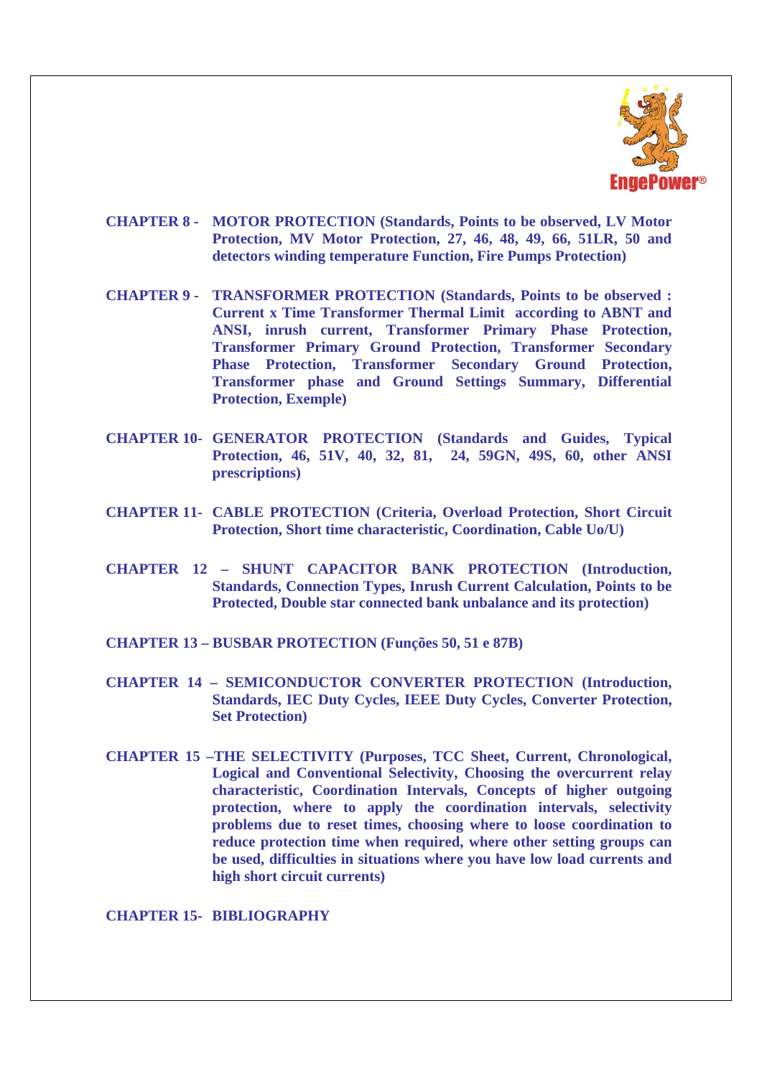

- **CHAPTER 8 MOTOR PROTECTION (Standards, Points to be observed, LV Motor Protection, MV Motor Protection, 27, 46, 48, 49, 66, 51LR, 50 and detectors winding temperature Function, Fire Pumps Protection)**
- **CHAPTER 9 TRANSFORMER PROTECTION (Standards, Points to be observed : Current x Time Transformer Thermal Limit according to ABNT and ANSI, inrush current, Transformer Primary Phase Protection, Transformer Primary Ground Protection, Transformer Secondary Phase Protection, Transformer Secondary Ground Protection, Transformer phase and Ground Settings Summary, Differential Protection, Exemple)**
- **CHAPTER 10- GENERATOR PROTECTION (Standards and Guides, Typical Protection, 46, 51V, 40, 32, 81, 24, 59GN, 49S, 60, other ANSI prescriptions)**
- **CHAPTER 11- CABLE PROTECTION (Criteria, Overload Protection, Short Circuit Protection, Short time characteristic, Coordination, Cable Uo/U)**
- **CHAPTER 12 SHUNT CAPACITOR BANK PROTECTION (Introduction, Standards, Connection Types, Inrush Current Calculation, Points to be Protected, Double star connected bank unbalance and its protection)**
- **CHAPTER 13 BUSBAR PROTECTION (Funções 50, 51 e 87B)**
- **CHAPTER 14 SEMICONDUCTOR CONVERTER PROTECTION (Introduction, Standards, IEC Duty Cycles, IEEE Duty Cycles, Converter Protection, Set Protection)**
- **CHAPTER 15 –THE SELECTIVITY (Purposes, TCC Sheet, Current, Chronological, Logical and Conventional Selectivity, Choosing the overcurrent relay characteristic, Coordination Intervals, Concepts of higher outgoing protection, where to apply the coordination intervals, selectivity problems due to reset times, choosing where to loose coordination to reduce protection time when required, where other setting groups can be used, difficulties in situations where you have low load currents and high short circuit currents)**

**CHAPTER 15- BIBLIOGRAPHY**